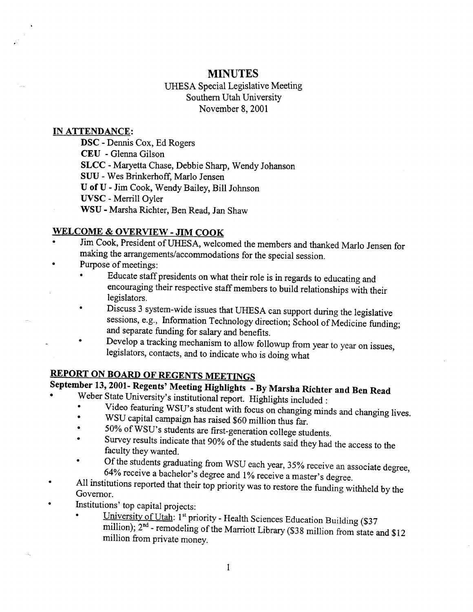# **MINUTES**

UHESA Special Legislative Meeting Southern Utah University November 8, 2001

#### **TN ATTENDANCE:**

DSC - Dennis Cox, Ed Rogers CEU - Glenna Gilson **SLCC** - Maryetta Chase, Debbie Sharp, Wendy Johanson SUU - Wes Brinkerhoff, Mario Jensen U of U - Jim Cook, Wendy Bailey, Bill Johnson **UVSC** - Merrill Oyler WSU - Marsha Richter, Ben Read, Jan Shaw

# **WELCOME & OVERVIEW - JIM COOK**

- Jim Cook, President of UHES A, welcomed the members and thanked Mario Jensen for making the arrangements/accommodations for the special session.
- Purpose of meetings:
	- Educate staff presidents on what their role is in regards to educating and encouraging their respective staff members to build relationships with their legislators.
	- Discuss 3 system-wide issues that UHESA can support during the legislative sessions, e.g., Information Technology direction; School of Medicine funding; and separate funding for salary and benefits.
	- Develop a tracking mechanism to allow followup from year to year on issues, legislators, contacts, and to indicate who is doing what

# **REPORT ON BOARD OF REGENTS MEETINGS**

# **September 13,2001- Regents' Meeting Highlights - By Marsha Richter and Ben Read**

- Weber State University's institutional report. Highlights included :
	- Video featuring WSU's student with focus on changing minds and changing lives.  $\bullet$
	- WSU capital campaign has raised \$60 million thus far.
	- 50% of WSU's students are first-generation college students.
	- Survey results indicate that 90% of the students said they had the access to the faculty they wanted.
	- Of the students graduating from WSU each year, 35% receive an associate degree, 64% receive a bachelor's degree and 1% receive a master's degree.
- All institutions reported that their top priority was to restore the funding withheld by the Governor.
- Institutions' top capital projects:
	- University of Utah: 1st priority Health Sciences Education Building (\$37) million); 2<sup>nd</sup> - remodeling of the Marriott Library (\$38 million from state and \$12 million from private money.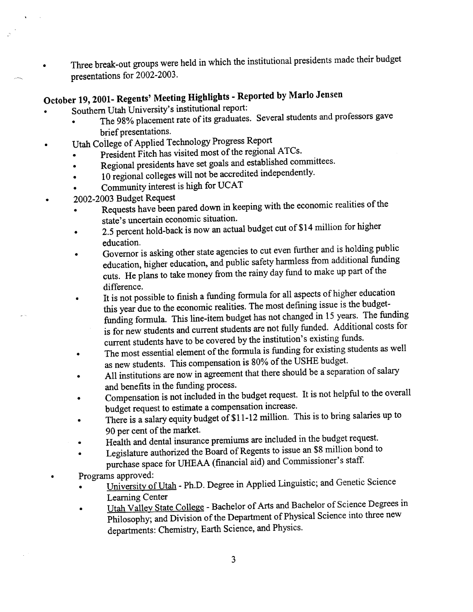$\overrightarrow{a}$   $\overrightarrow{b}$   $\overrightarrow{c}$   $\overrightarrow{c}$   $\overrightarrow{c}$   $\overrightarrow{d}$  in which the institutional presidents made their budget presentations for 2002-2003.

# **October 19,2001- Regents' Meeting Highlights - Reported by Mario Jensen**

- tober 19, 2001 Regents incetting Ligangard Assper
	- where the distribution of its graduates. Several students and professors gave Brief presentations.
- Utah College of Applied Technology Progress Report
	- President Fitch has visited most of the regional ATCs.
	- Regional presidents have set goals and established committees.
	- **Regional presidents have set goals and established colleges**
	- $\mu$  regional coneges will not be abelied. • Community interest is high for UCAT<br>2002-2003 Budget Request
- - Requests have been pared down in keeping with the economic realities of the state's uncertain economic situation.
	- state's uncertain economic situation.<br> $\epsilon$   $\epsilon$  percent hold-back is now an actual budget cut of \$14 million for higher percent<br>.
	- Governor is asking other state agencies to cut even further and is holding public education, higher education, and public safety harmless from additional funding  $\frac{1}{2}$  and  $\frac{1}{2}$  is the take money from the rainy day fund to make up part of the ns. He pia
	- difference.<br>It is not possible to finish a funding formula for all aspects of higher education  $\bullet$ this year due to the economic realities. The most defining issue is the budgetfunding formula. This line-item budget has not changed in 15 years. The funding is for new students and current students are not fully funded. Additional costs for current students have to be covered by the institution's existing funds.
	- The most essential element of the formula is funding for existing students as well as new students. This compensation is 80% of the USHE budget.
	- All institutions are now in agreement that there should be a separation of salary and benefits in the funding process.
	- Compensation is not included in the budget request. It is not helpful to the overall budget request to estimate a compensation increase.
	- budget request to estimate a compensation increase.<br>There is a salary equity budget of \$11-12 million. This is to bring salaries up to  $\frac{1}{2}$  $\frac{1}{2}$
	- Health and dental insurance premiums are included in the budget request.
	- Legislature authorized the Board of Regents to issue an \$8 million bond to purchase space for UHEAA (financial aid) and Commissioner's staff.

• Programs approved:

- rograms approved.<br>Figures in Applied Linguistic: and Genetic Science <u>Iniversity of Old</u>
- Learning Center<br>• Utah Valley State College Bachelor of Arts and Bachelor of Science Degrees in Philosophy; and Division of the Department of Physical Science into three new departments: Chemistry, Earth Science, and Physics.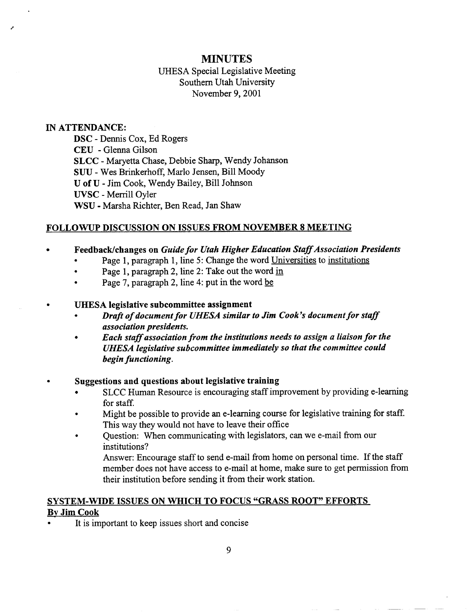# **MINUTES**

## UHESA Special Legislative Meeting Southern Utah University November 9, 2001

#### **IN ATTENDANCE:**

DSC - Dennis Cox, Ed Rogers CEU - Glenna Gilson **SLCC** - Maryetta Chase, Debbie Sharp, Wendy Johanson SUU - Wes Brinkerhoff, Mario Jensen, Bill Moody U of U - Jim Cook, Wendy Bailey, Bill Johnson **UVSC** - Merrill Oyler WSU - Marsha Richter, Ben Read, Jan Shaw

#### **FOLLOWUP DISCUSSION ON ISSUES FROM NOVEMBER 8 MEETING**

### **• Feedback/changes on** *Guide for Utah Higher Education Staff Association Presidents*

- Page 1, paragraph 1, line 5: Change the word Universities to institutions
- Page 1, paragraph 2, line 2: Take out the word in
- Page 7, paragraph 2, line 4: put in the word be

#### **• UHESA legislative subcommittee assignment**

- **•** *Draft of document for UHESA similar to Jim Cook's document for staff association presidents.*
- *Each staff association from the institutions needs to assign a liaison for the UHESA legislative subcommittee immediately so that the committee could begin functioning.*

#### *•* **Suggestions and questions about legislative training**

- SLCC Human Resource is encouraging staff improvement by providing e-learning for staff.
- Might be possible to provide an e-learning course for legislative training for staff. This way they would not have to leave their office
- Question: When communicating with legislators, can we e-mail from our institutions?

Answer: Encourage staff to send e-mail from home on personal time. If the staff member does not have access to e-mail at home, make sure to get permission from their institution before sending it from their work station.

# **SYSTEM-WIDE ISSUES ON WHICH TO FOCUS "GRASS ROOT" EFFORTS**

## **By Jim Cook**

It is important to keep issues short and concise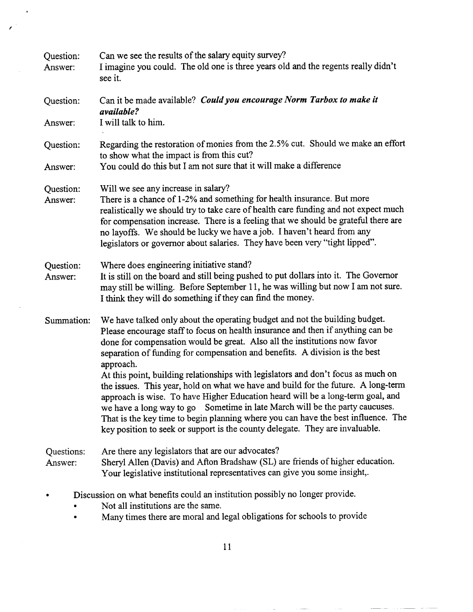| Question:<br>Answer:                                                                                               | Can we see the results of the salary equity survey?<br>I imagine you could. The old one is three years old and the regents really didn't<br>see it.                                                                                                                                                                                                                                                                                                                                                          |
|--------------------------------------------------------------------------------------------------------------------|--------------------------------------------------------------------------------------------------------------------------------------------------------------------------------------------------------------------------------------------------------------------------------------------------------------------------------------------------------------------------------------------------------------------------------------------------------------------------------------------------------------|
| Question:                                                                                                          | Can it be made available? Could you encourage Norm Tarbox to make it<br>available?                                                                                                                                                                                                                                                                                                                                                                                                                           |
| Answer:                                                                                                            | I will talk to him.                                                                                                                                                                                                                                                                                                                                                                                                                                                                                          |
| Question:                                                                                                          | Regarding the restoration of monies from the 2.5% cut. Should we make an effort<br>to show what the impact is from this cut?                                                                                                                                                                                                                                                                                                                                                                                 |
| Answer:                                                                                                            | You could do this but I am not sure that it will make a difference                                                                                                                                                                                                                                                                                                                                                                                                                                           |
| Question:<br>Answer:                                                                                               | Will we see any increase in salary?<br>There is a chance of 1-2% and something for health insurance. But more<br>realistically we should try to take care of health care funding and not expect much<br>for compensation increase. There is a feeling that we should be grateful there are<br>no layoffs. We should be lucky we have a job. I haven't heard from any<br>legislators or governor about salaries. They have been very "tight lipped".                                                          |
| Question:<br>Answer:                                                                                               | Where does engineering initiative stand?<br>It is still on the board and still being pushed to put dollars into it. The Governor<br>may still be willing. Before September 11, he was willing but now I am not sure.<br>I think they will do something if they can find the money.                                                                                                                                                                                                                           |
| Summation:                                                                                                         | We have talked only about the operating budget and not the building budget.<br>Please encourage staff to focus on health insurance and then if anything can be<br>done for compensation would be great. Also all the institutions now favor<br>separation of funding for compensation and benefits. A division is the best<br>approach.                                                                                                                                                                      |
|                                                                                                                    | At this point, building relationships with legislators and don't focus as much on<br>the issues. This year, hold on what we have and build for the future. A long-term<br>approach is wise. To have Higher Education heard will be a long-term goal, and<br>we have a long way to go Sometime in late March will be the party caucuses.<br>That is the key time to begin planning where you can have the best influence. The<br>key position to seek or support is the county delegate. They are invaluable. |
| Questions:<br>Answer:                                                                                              | Are there any legislators that are our advocates?<br>Sheryl Allen (Davis) and Afton Bradshaw (SL) are friends of higher education.<br>Your legislative institutional representatives can give you some insight,.                                                                                                                                                                                                                                                                                             |
| Discussion on what benefits could an institution possibly no longer provide.<br>Not all institutions are the same. |                                                                                                                                                                                                                                                                                                                                                                                                                                                                                                              |
|                                                                                                                    |                                                                                                                                                                                                                                                                                                                                                                                                                                                                                                              |

 $\overline{\phantom{a}}$ 

 $\sim$ 

• Many times there are moral and legal obligations for schools to provide